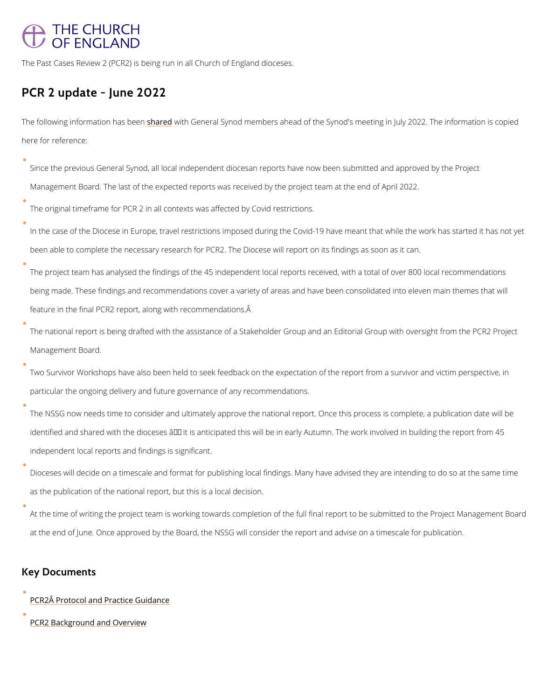## **THE CHURCH** OF ENGLAND

The Past Cases Review 2 (PCR2) is being run in all Church of England dioceses.

## PCR 2 update - June 2022

The following informatischma heads ithe Greeneral Synod members ahead of the Synod's meeting in Jul here for reference:

| Since the previous General Synod, all local independent diocesan reports have now been su   |
|---------------------------------------------------------------------------------------------|
| Management Board. The last of the expected reports was received by the project team at th   |
| The original timeframe for PCR 2 in all contexts was affected by Covid restrictions.        |
| In the case of the Diocese in Europe, travel restrictions imposed during the Covid-19 have  |
| been able to complete the necessary research for PCR2. The Diocese will report on its find  |
| The project team has analysed the findings of the 45 independent local reports received, w  |
| being made. These findings and recommendations cover a variety of areas and have been co    |
| feature in the final PCR2 report, along with recommendations. A                             |
| The national report is being drafted with the assistance of a Stakeholder Group and an Edit |
| Management Board.                                                                           |
| Two Survivor Workshops have also been held to seek feedback on the expectation of the re    |
| particular the ongoing delivery and future governance of any recommendations.               |

The NSSG now needs time to consider and ultimately approve the national report. Once this identified and shared with the dioceses  $\hat{a} \in$  it is anticipated this will be in early Autumn. T independent local reports and findings is significant.

Dioceses will decide on a timescale and format for publishing local findings. Many have adv as the publication of the national report, but this is a local decision.

At the time of writing the project team is working towards completion of the full final reportant to be submit

at the end of June. Once approved by the Board, the NSSG will consider the report and adv

## Key Documents

[PCR2Â Protocol and Prac](https://www.churchofengland.org/media/18320)tice Guidance

[PCR2 Background and](https://www.churchofengland.org/media/18319) Overview